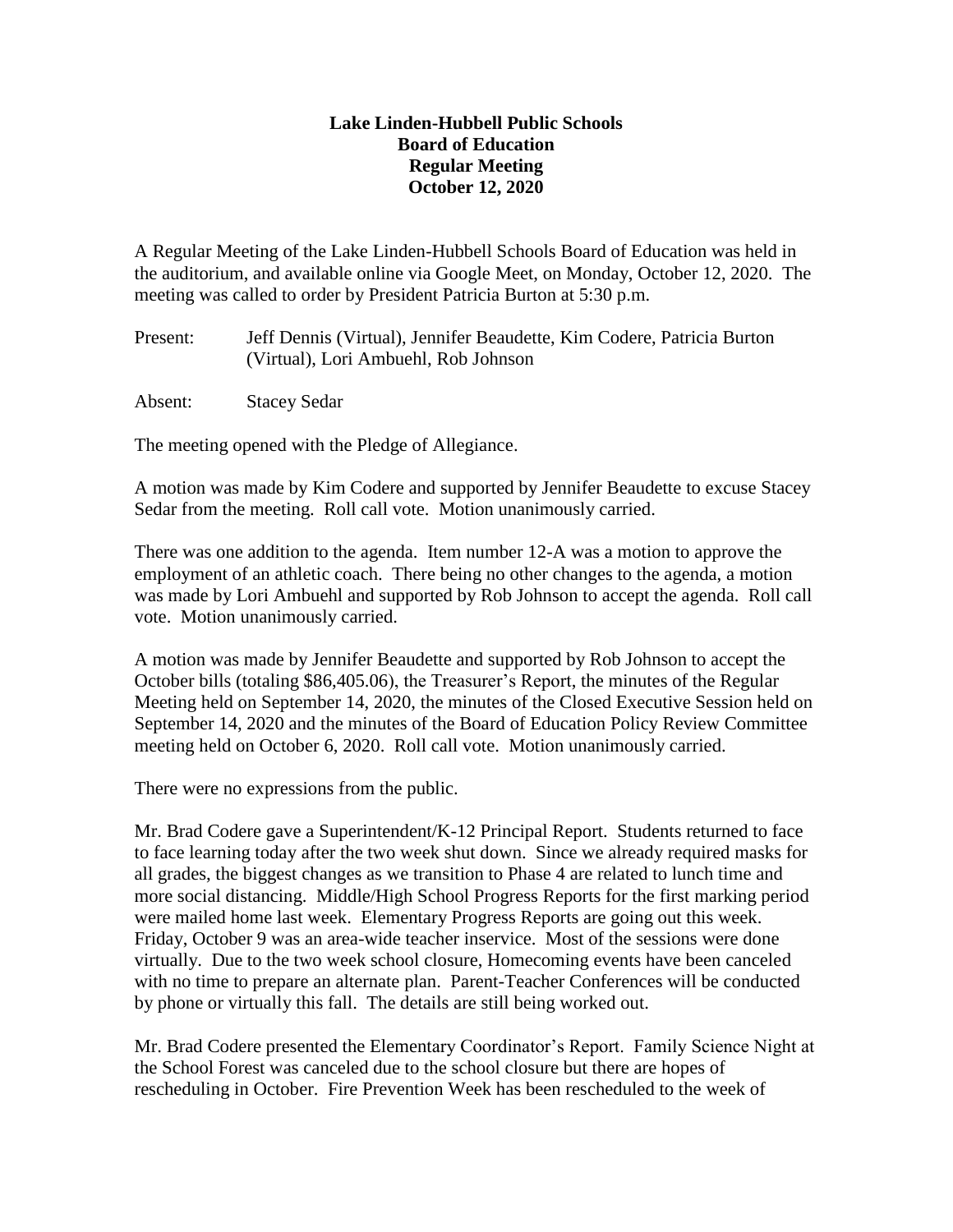## **Lake Linden-Hubbell Public Schools Board of Education Regular Meeting October 12, 2020**

A Regular Meeting of the Lake Linden-Hubbell Schools Board of Education was held in the auditorium, and available online via Google Meet, on Monday, October 12, 2020. The meeting was called to order by President Patricia Burton at 5:30 p.m.

Present: Jeff Dennis (Virtual), Jennifer Beaudette, Kim Codere, Patricia Burton (Virtual), Lori Ambuehl, Rob Johnson

Absent: Stacey Sedar

The meeting opened with the Pledge of Allegiance.

A motion was made by Kim Codere and supported by Jennifer Beaudette to excuse Stacey Sedar from the meeting. Roll call vote. Motion unanimously carried.

There was one addition to the agenda. Item number 12-A was a motion to approve the employment of an athletic coach. There being no other changes to the agenda, a motion was made by Lori Ambuehl and supported by Rob Johnson to accept the agenda. Roll call vote. Motion unanimously carried.

A motion was made by Jennifer Beaudette and supported by Rob Johnson to accept the October bills (totaling \$86,405.06), the Treasurer's Report, the minutes of the Regular Meeting held on September 14, 2020, the minutes of the Closed Executive Session held on September 14, 2020 and the minutes of the Board of Education Policy Review Committee meeting held on October 6, 2020. Roll call vote. Motion unanimously carried.

There were no expressions from the public.

Mr. Brad Codere gave a Superintendent/K-12 Principal Report. Students returned to face to face learning today after the two week shut down. Since we already required masks for all grades, the biggest changes as we transition to Phase 4 are related to lunch time and more social distancing. Middle/High School Progress Reports for the first marking period were mailed home last week. Elementary Progress Reports are going out this week. Friday, October 9 was an area-wide teacher inservice. Most of the sessions were done virtually. Due to the two week school closure, Homecoming events have been canceled with no time to prepare an alternate plan. Parent-Teacher Conferences will be conducted by phone or virtually this fall. The details are still being worked out.

Mr. Brad Codere presented the Elementary Coordinator's Report. Family Science Night at the School Forest was canceled due to the school closure but there are hopes of rescheduling in October. Fire Prevention Week has been rescheduled to the week of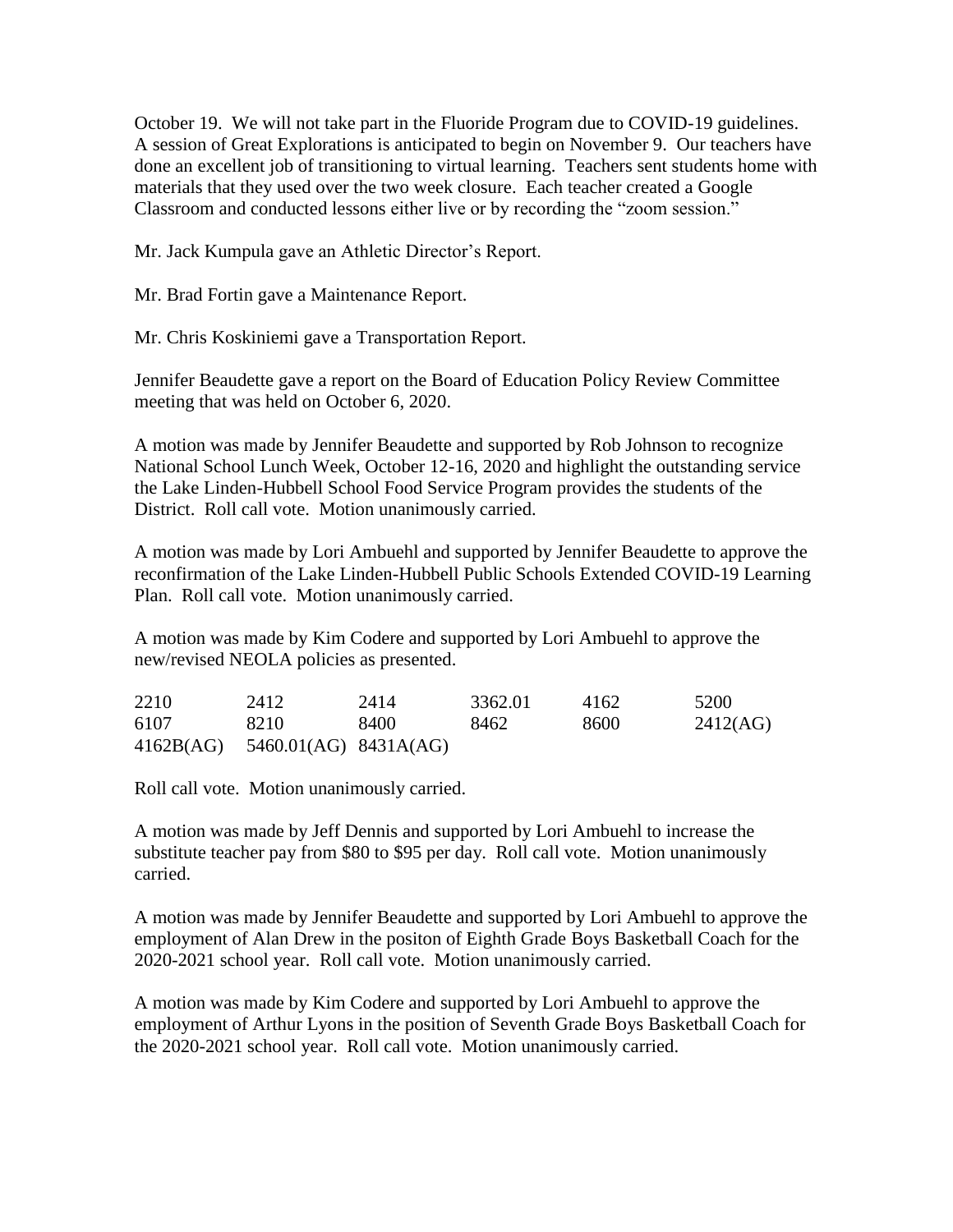October 19. We will not take part in the Fluoride Program due to COVID-19 guidelines. A session of Great Explorations is anticipated to begin on November 9. Our teachers have done an excellent job of transitioning to virtual learning. Teachers sent students home with materials that they used over the two week closure. Each teacher created a Google Classroom and conducted lessons either live or by recording the "zoom session."

Mr. Jack Kumpula gave an Athletic Director's Report.

Mr. Brad Fortin gave a Maintenance Report.

Mr. Chris Koskiniemi gave a Transportation Report.

Jennifer Beaudette gave a report on the Board of Education Policy Review Committee meeting that was held on October 6, 2020.

A motion was made by Jennifer Beaudette and supported by Rob Johnson to recognize National School Lunch Week, October 12-16, 2020 and highlight the outstanding service the Lake Linden-Hubbell School Food Service Program provides the students of the District. Roll call vote. Motion unanimously carried.

A motion was made by Lori Ambuehl and supported by Jennifer Beaudette to approve the reconfirmation of the Lake Linden-Hubbell Public Schools Extended COVID-19 Learning Plan. Roll call vote. Motion unanimously carried.

A motion was made by Kim Codere and supported by Lori Ambuehl to approve the new/revised NEOLA policies as presented.

| 2210      | 2412                  | 2414 | 3362.01 | 4162 | 5200     |
|-----------|-----------------------|------|---------|------|----------|
| 6107      | 8210                  | 8400 | 8462    | 8600 | 2412(AG) |
| 4162B(AG) | 5460.01(AG) 8431A(AG) |      |         |      |          |

Roll call vote. Motion unanimously carried.

A motion was made by Jeff Dennis and supported by Lori Ambuehl to increase the substitute teacher pay from \$80 to \$95 per day. Roll call vote. Motion unanimously carried.

A motion was made by Jennifer Beaudette and supported by Lori Ambuehl to approve the employment of Alan Drew in the positon of Eighth Grade Boys Basketball Coach for the 2020-2021 school year. Roll call vote. Motion unanimously carried.

A motion was made by Kim Codere and supported by Lori Ambuehl to approve the employment of Arthur Lyons in the position of Seventh Grade Boys Basketball Coach for the 2020-2021 school year. Roll call vote. Motion unanimously carried.